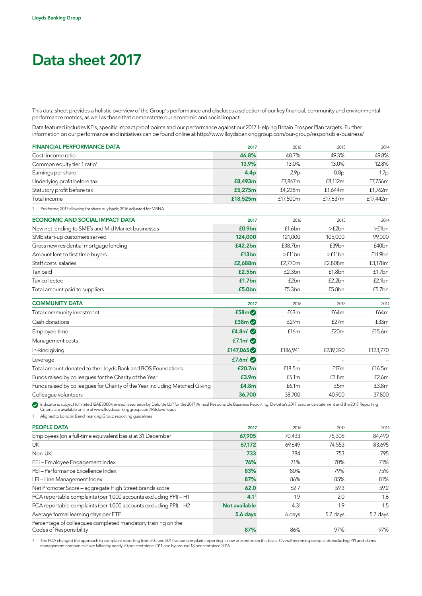# Data sheet 2017

This data sheet provides a holistic overview of the Group's performance and discloses a selection of our key financial, community and environmental performance metrics, as well as those that demonstrate our economic and social impact.

Data featured includes KPIs, specific impact proof points and our performance against our 2017 Helping Britain Prosper Plan targets. Further information on our performance and initiatives can be found online at http://www.lloydsbankinggroup.com/our-group/responsible-business/

| <b>FINANCIAL PERFORMANCE DATA</b>                                           | 2017               | 2016             | 2015             | 2014             |
|-----------------------------------------------------------------------------|--------------------|------------------|------------------|------------------|
| Cost: income ratio                                                          | 46.8%              | 48.7%            | 49.3%            | 49.8%            |
| Common equity tier 1 ratio <sup>1</sup>                                     | 13.9%              | 13.0%            | 13.0%            | 12.8%            |
| Earnings per share                                                          | 4.4 <sub>p</sub>   | 2.9 <sub>p</sub> | 0.8 <sub>D</sub> | 1.7 <sub>p</sub> |
| Underlying profit before tax                                                | £8,493m            | £7,867m          | £8,112m          | £7,756m          |
| Statutory profit before tax                                                 | £5,275m            | £4,238m          | £1,644m          | £1,762m          |
| Total income                                                                | £18,525m           | £17,500m         | £17,637m         | £17,442m         |
| Pro forma; 2017 allowing for share buy back; 2016 adjusted for MBNA         |                    |                  |                  |                  |
| <b>ECONOMIC AND SOCIAL IMPACT DATA</b>                                      | 2017               | 2016             | 2015             | 2014             |
| New net lending to SME's and Mid Market businesses                          | £0.9bn             | £1.6bn           | >f2bn            | >f1bn            |
| SME start-up customers served                                               | 124,000            | 121.000          | 105,000          | 99,000           |
| Gross new residential mortgage lending                                      | £42.2bn            | £38.7bn          | £39bn            | £40bn            |
| Amount lent to first time buyers                                            | £13bn              | >f11bn           | >f11bn           | £11.9bn          |
| Staff costs: salaries                                                       | £2,688m            | £2,770m          | £2,808m          | £3,178m          |
| Tax paid                                                                    | £2.5bn             | £2.3bn           | f1.8bn           | f1.7bn           |
| Tax collected                                                               | £1.7 <sub>bn</sub> | £2bn             | f2.2bn           | f2.1bn           |
| Total amount paid to suppliers                                              | £5.0bn             | £5.3bn           | £5.8bn           | £5.7bn           |
| <b>COMMUNITY DATA</b>                                                       | 2017               | 2016             | 2015             | 2014             |
| Total community investment                                                  | £58m               | £63m             | £64m             | £64m             |
| Cash donations                                                              | £38m               | f29m             | f27m             | £33m             |
| Employee time                                                               | £4.8 $m^1$         | £16m             | £20m             | £15.6m           |
| Management costs                                                            | £7.1 $m^1$ $\odot$ |                  |                  |                  |
| In-kind giving                                                              | £147,065 $\odot$   | £186,941         | £239,390         | £123,770         |
| Leverage                                                                    | £7.6 $m^1$         |                  |                  |                  |
| Total amount donated to the Lloyds Bank and BOS Foundations                 | £20.7m             | £18.5m           | f17m             | £16.5m           |
| Funds raised by colleagues for the Charity of the Year                      | £3.9m              | £5.1m            | £3.8m            | £2.6m            |
| Funds raised by colleagues for Charity of the Year including Matched Giving | £4.8m              | £6.1m            | £5m              | £3.8m            |
| Colleague volunteers                                                        | 36,700             | 38,700           | 40,900           | 37,800           |

Indicator is subject to limited ISAE3000 (revised) assurance by Deloitte LLP for the 2017 Annual Responsible Business Reporting. Deloitte's 2017 assurance statement and the 2017 Reporting<br>Criteria are available online at w

1 Aligned to London Benchmarking Group reporting guidelines

| <b>PEOPLE DATA</b>                                                                      | 2017             | 2016             | 2015     | 2014     |
|-----------------------------------------------------------------------------------------|------------------|------------------|----------|----------|
| Employees (on a full-time equivalent basis) at 31 December                              | 67,905           | 70,433           | 75,306   | 84,490   |
| UK                                                                                      | 67,172           | 69,649           | 74,553   | 83,695   |
| Non-UK                                                                                  | 733              | 784              | 753      | 795      |
| EEI-Employee Engagement Index                                                           | 76%              | 71%              | 70%      | 71%      |
| PEI - Performance Excellence Index                                                      | 83%              | 80%              | 79%      | 75%      |
| LEI-Line Management Index                                                               | 87%              | 86%              | 85%      | 81%      |
| Net Promoter Score – aggregate High Street brands score                                 | 62.0             | 62.7             | 59.3     | 59.2     |
| FCA reportable complaints (per 1,000 accounts excluding PPI) - H1                       | 4.1 <sup>1</sup> | 1.9              | 2.0      | 1.6      |
| FCA reportable complaints (per 1,000 accounts excluding PPI) - H2                       | Not available    | 4.3 <sup>1</sup> | 1.9      | 1.5      |
| Average formal learning days per FTE                                                    | 5.6 days         | 6 days           | 5.7 days | 5.7 days |
| Percentage of colleagues completed mandatory training on the<br>Codes of Responsibility | 87%              | 86%              | 97%      | 97%      |

The FCA changed the approach to complaint reporting from 20 June 2017 so our complaint reporting is now presented on this basis. Overall incoming complaints excluding PPI and claims<br>management companies have fallen by near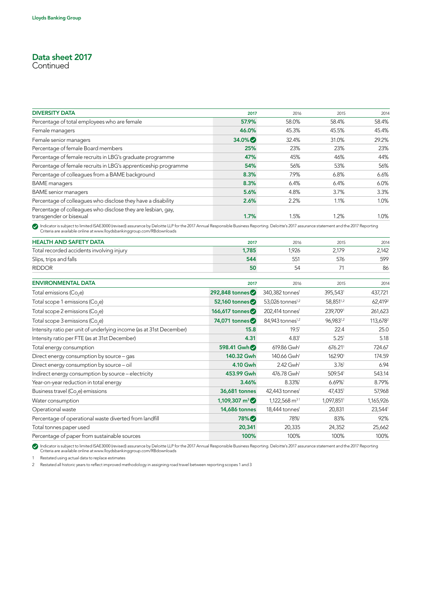## Data sheet 2017

**Continued** 

| <b>DIVERSITY DATA</b>                                                                   | 2017     | 2016  | 2015  | 2014    |
|-----------------------------------------------------------------------------------------|----------|-------|-------|---------|
| Percentage of total employees who are female                                            | 57.9%    | 58.0% | 58.4% | 58.4%   |
| Female managers                                                                         | 46.0%    | 45.3% | 45.5% | 45.4%   |
| Female senior managers                                                                  | $34.0\%$ | 32.4% | 31.0% | 29.2%   |
| Percentage of female Board members                                                      | 25%      | 23%   | 23%   | 23%     |
| Percentage of female recruits in LBG's graduate programme                               | 47%      | 45%   | 46%   | 44%     |
| Percentage of female recruits in LBG's apprenticeship programme                         | 54%      | 56%   | 53%   | 56%     |
| Percentage of colleagues from a BAME background                                         | 8.3%     | 7.9%  | 6.8%  | 6.6%    |
| <b>BAME</b> managers                                                                    | 8.3%     | 6.4%  | 6.4%  | $6.0\%$ |
| <b>BAME</b> senior managers                                                             | 5.6%     | 4.8%  | 3.7%  | 3.3%    |
| Percentage of colleagues who disclose they have a disability                            | 2.6%     | 2.2%  | 1.1%  | 1.0%    |
| Percentage of colleagues who disclose they are lesbian, gay,<br>transgender or bisexual | 1.7%     | 1.5%  | 1.2%  | 1.0%    |

Indicator is subject to limited ISAE3000 (revised) assurance by Deloitte LLP for the 2017 Annual Responsible Business Reporting. Deloitte's 2017 assurance statement and the 2017 Reporting<br>Criteria are available online at w

| <b>HEALTH AND SAFETY DATA</b>             | 2017  | 2016 | 2015  | 2014  |
|-------------------------------------------|-------|------|-------|-------|
| Total recorded accidents involving injury | 1.785 | .926 | 2.179 | 2.142 |
| Slips, trips and falls                    | 544   |      | 576   | 599   |
| <b>RIDDOR</b>                             | 50    | 54   |       | 86    |

| <b>ENVIRONMENTAL DATA</b>                                           | 2017                     | 2016                         | 2015                  | 2014                 |
|---------------------------------------------------------------------|--------------------------|------------------------------|-----------------------|----------------------|
| Total emissions (Co <sub>2</sub> e)                                 | 292,848 tonnes $\bullet$ | 340,382 tonnes <sup>1</sup>  | 395,5431              | 437,721              |
| Total scope 1 emissions (Co <sub>s</sub> e)                         | 52,160 tonnes $\bullet$  | 53,026 tonnes <sup>1,2</sup> | 58,851 <sup>1,2</sup> | 62,419 <sup>2</sup>  |
| Total scope 2 emissions (Co <sub>2</sub> e)                         | 166,617 tonnes           | 202,414 tonnes <sup>1</sup>  | 239,7091              | 261,623              |
| Total scope 3 emissions (Co <sub>2</sub> e)                         | 74,071 tonnes $\bullet$  | 84.943 tonnes <sup>1,2</sup> | 96.9831,2             | 113,678 <sup>2</sup> |
| Intensity ratio per unit of underlying income (as at 31st December) | 15.8                     | 19.5 <sup>1</sup>            | 22.4                  | 25.0                 |
| Intensity ratio per FTE (as at 31st December)                       | 4.31                     | 4.83 <sup>1</sup>            | 5.25 <sup>1</sup>     | 5.18                 |
| Total energy consumption                                            | 598.41 Gwh               | $619.86$ Gwh <sup>1</sup>    | $676.21$ <sup>1</sup> | 724.67               |
| Direct energy consumption by source – gas                           | 140.32 Gwh               | 140.66 Gwh <sup>1</sup>      | 162.901               | 174.59               |
| Direct energy consumption by source - oil                           | 4.10 Gwh                 | 2.42 Gwh <sup>1</sup>        | 3.76 <sup>1</sup>     | 6.94                 |
| Indirect energy consumption by source - electricity                 | 453.99 Gwh               | 476.78 Gwh <sup>1</sup>      | 509.541               | 543.14               |
| Year-on-year reduction in total energy                              | 3.46%                    | 8.33%                        | 6.69%                 | 8.79%                |
| Business travel (Co <sub>2</sub> e) emissions                       | 36,681 tonnes            | $42,443$ tonnes <sup>1</sup> | 47,4351               | 57,968               |
| Water consumption                                                   | $1,109,307 \text{ m}^3$  | $1,122,568$ m <sup>31</sup>  | 1,097,8511            | 1,165,926            |
| Operational waste                                                   | <b>14,686 tonnes</b>     | 18,444 tonnes <sup>1</sup>   | 20,831                | 23,544               |
| Percentage of operational waste diverted from landfill              | 78% <sup>O</sup>         | 78%                          | 83%                   | 92%                  |
| Total tonnes paper used                                             | 20,341                   | 20,335                       | 24,352                | 25,662               |
| Percentage of paper from sustainable sources                        | 100%                     | 100%                         | 100%                  | 100%                 |

Indicator is subject to limited ISAE3000 (revised) assurance by Deloitte LLP for the 2017 Annual Responsible Business Reporting. Deloitte's 2017 assurance statement and the 2017 Reporting<br>Criteria are available online at w

1 Restated using actual data to replace estimates

2 Restated all historic years to reflect improved methodology in assigning road travel between reporting scopes 1 and 3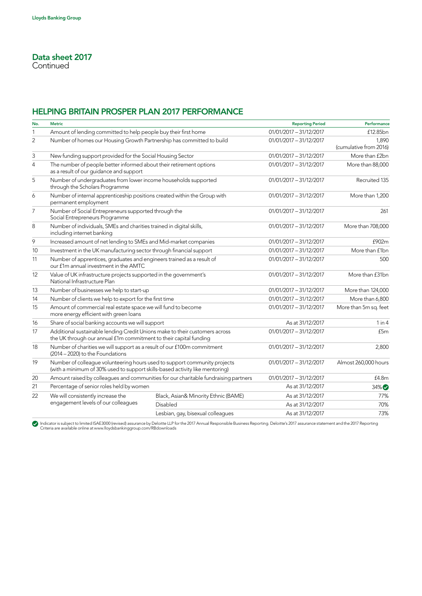## HELPING BRITAIN PROSPER PLAN 2017 PERFORMANCE

| No.            | <b>Metric</b>                                                                                                                                             |                                      | <b>Reporting Period</b>   | Performance                     |
|----------------|-----------------------------------------------------------------------------------------------------------------------------------------------------------|--------------------------------------|---------------------------|---------------------------------|
| $\mathbf{1}$   | Amount of lending committed to help people buy their first home                                                                                           |                                      | $01/01/2017 - 31/12/2017$ | £12.85bn                        |
| $\overline{2}$ | Number of homes our Housing Growth Partnership has committed to build                                                                                     |                                      | 01/01/2017 - 31/12/2017   | 1,890<br>(cumulative from 2016) |
| 3              | New funding support provided for the Social Housing Sector                                                                                                |                                      | 01/01/2017 - 31/12/2017   | More than £2bn                  |
| $\overline{4}$ | The number of people better informed about their retirement options<br>as a result of our guidance and support                                            |                                      | 01/01/2017 - 31/12/2017   | More than 88,000                |
| 5              | Number of undergraduates from lower income households supported<br>through the Scholars Programme                                                         |                                      | 01/01/2017 - 31/12/2017   | Recruited 135                   |
| 6              | Number of internal apprenticeship positions created within the Group with<br>permanent employment                                                         |                                      | 01/01/2017 - 31/12/2017   | More than 1,200                 |
| $\overline{7}$ | Number of Social Entrepreneurs supported through the<br>Social Entrepreneurs Programme                                                                    |                                      | $01/01/2017 - 31/12/2017$ | 261                             |
| 8              | Number of individuals, SMEs and charities trained in digital skills,<br>including internet banking                                                        |                                      | 01/01/2017 - 31/12/2017   | More than 708,000               |
| 9              | Increased amount of net lending to SMEs and Mid-market companies                                                                                          |                                      | $01/01/2017 - 31/12/2017$ | £902m                           |
| 10             | Investment in the UK manufacturing sector through financial support                                                                                       |                                      | $01/01/2017 - 31/12/2017$ | More than £1bn                  |
| 11             | Number of apprentices, graduates and engineers trained as a result of<br>our f1m annual investment in the AMTC                                            |                                      | $01/01/2017 - 31/12/2017$ | 500                             |
| 12             | Value of UK infrastructure projects supported in the government's<br>National Infrastructure Plan                                                         |                                      | 01/01/2017 - 31/12/2017   | More than £31bn                 |
| 13             | Number of businesses we help to start-up                                                                                                                  |                                      | 01/01/2017 - 31/12/2017   | More than 124,000               |
| 14             | Number of clients we help to export for the first time                                                                                                    |                                      | $01/01/2017 - 31/12/2017$ | More than 6,800                 |
| 15             | Amount of commercial real estate space we will fund to become<br>more energy efficient with green loans                                                   |                                      | $01/01/2017 - 31/12/2017$ | More than 5m sq. feet           |
| 16             | Share of social banking accounts we will support                                                                                                          |                                      | As at 31/12/2017          | 1 in 4                          |
| 17             | Additional sustainable lending Credit Unions make to their customers across<br>the UK through our annual £1m commitment to their capital funding          |                                      | $01/01/2017 - 31/12/2017$ | £5m                             |
| 18             | Number of charities we will support as a result of our £100m commitment<br>(2014 - 2020) to the Foundations                                               |                                      | 01/01/2017 - 31/12/2017   | 2,800                           |
| 19             | Number of colleague volunteering hours used to support community projects<br>(with a minimum of 30% used to support skills-based activity like mentoring) |                                      | $01/01/2017 - 31/12/2017$ | Almost 260,000 hours            |
| 20             | Amount raised by colleagues and communities for our charitable fundraising partners                                                                       |                                      | $01/01/2017 - 31/12/2017$ | £4.8m                           |
| 21             | Percentage of senior roles held by women                                                                                                                  |                                      | As at 31/12/2017          | $34\%$                          |
| 22             | We will consistently increase the                                                                                                                         | Black, Asian& Minority Ethnic (BAME) | As at 31/12/2017          | 77%                             |
|                | engagement levels of our colleagues                                                                                                                       | Disabled                             | As at 31/12/2017          | 70%                             |
|                |                                                                                                                                                           | Lesbian, gay, bisexual colleagues    | As at 31/12/2017          | 73%                             |

Indicator is subject to limited ISAE3000 (revised) assurance by Deloitte LLP for the 2017 Annual Responsible Business Reporting. Deloitte's 2017 assurance statement and the 2017 Reporting<br>Criteria are available online at w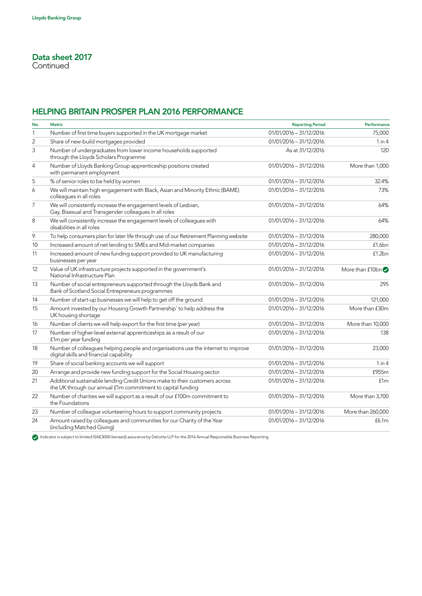### HELPING BRITAIN PROSPER PLAN 2016 PERFORMANCE

| No.            | <b>Metric</b>                                                                                                                              | <b>Reporting Period</b> | Performance       |
|----------------|--------------------------------------------------------------------------------------------------------------------------------------------|-------------------------|-------------------|
| 1              | Number of first time buyers supported in the UK mortgage market                                                                            | 01/01/2016 - 31/12/2016 | 75,000            |
| $\overline{2}$ | Share of new-build mortgages provided                                                                                                      | 01/01/2016 - 31/12/2016 | 1 in 4            |
| 3              | Number of undergraduates from lower income households supported<br>through the Lloyds Scholars Programme                                   | As at 31/12/2016        | 120               |
| $\overline{4}$ | Number of Lloyds Banking Group apprenticeship positions created<br>with permanent employment                                               | 01/01/2016 - 31/12/2016 | More than 1,000   |
| 5              | % of senior roles to be held by women                                                                                                      | 01/01/2016 - 31/12/2016 | 32.4%             |
| 6              | We will maintain high engagement with Black, Asian and Minority Ethnic (BAME)<br>colleagues in all roles                                   | 01/01/2016 - 31/12/2016 | 73%               |
| $\overline{7}$ | We will consistently increase the engagement levels of Lesbian,<br>Gay, Bisexual and Transgender colleagues in all roles                   | 01/01/2016 - 31/12/2016 | 64%               |
| 8              | We will consistently increase the engagement levels of colleagues with<br>disabilities in all roles                                        | 01/01/2016 - 31/12/2016 | 64%               |
| 9              | To help consumers plan for later life through use of our Retirement Planning website                                                       | 01/01/2016 - 31/12/2016 | 280,000           |
| 10             | Increased amount of net lending to SMEs and Mid-market companies                                                                           | 01/01/2016 - 31/12/2016 | f1.6bn            |
| 11             | Increased amount of new funding support provided to UK manufacturing<br>businesses per year                                                | 01/01/2016 - 31/12/2016 | £1.2bn            |
| 12             | Value of UK infrastructure projects supported in the government's<br>National Infrastructure Plan                                          | 01/01/2016 - 31/12/2016 | More than $f10bn$ |
| 13             | Number of social entrepreneurs supported through the Lloyds Bank and<br>Bank of Scotland Social Entrepreneurs programmes                   | 01/01/2016 - 31/12/2016 | 295               |
| 14             | Number of start-up businesses we will help to get off the ground                                                                           | 01/01/2016 - 31/12/2016 | 121,000           |
| 15             | Amount invested by our Housing Growth Partnership <sup>*</sup> to help address the<br>UK housing shortage                                  | 01/01/2016 - 31/12/2016 | More than £30m    |
| 16             | Number of clients we will help export for the first time (per year)                                                                        | 01/01/2016 - 31/12/2016 | More than 10,000  |
| 17             | Number of higher-level external apprenticeships as a result of our<br>f1m per year funding                                                 | 01/01/2016 - 31/12/2016 | 138               |
| 18             | Number of colleagues helping people and organisations use the internet to improve<br>digital skills and financial capability               | 01/01/2016 - 31/12/2016 | 23,000            |
| 19             | Share of social banking accounts we will support                                                                                           | 01/01/2016 - 31/12/2016 | 1 in 4            |
| 20             | Arrange and provide new funding support for the Social Housing sector                                                                      | 01/01/2016 - 31/12/2016 | £955m             |
| 21             | Additional sustainable lending Credit Unions make to their customers across<br>the UK through our annual f1m commitment to capital funding | 01/01/2016 - 31/12/2016 | f1m               |
| 22             | Number of charities we will support as a result of our £100m commitment to<br>the Foundations                                              | 01/01/2016 - 31/12/2016 | More than 3,700   |
| 23             | Number of colleague volunteering hours to support community projects                                                                       | 01/01/2016 - 31/12/2016 | More than 260,000 |
| 24             | Amount raised by colleagues and communities for our Charity of the Year<br>(including Matched Giving)                                      | 01/01/2016 - 31/12/2016 | f6.1m             |

Indicator is subject to limited ISAE3000 (revised) assurance by Deloitte LLP for the 2016 Annual Responsible Business Reporting.